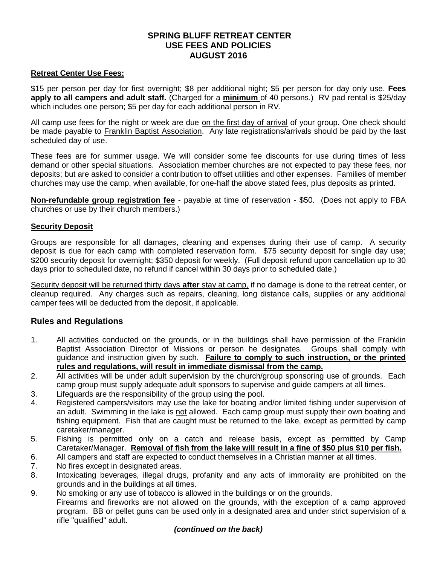# **SPRING BLUFF RETREAT CENTER USE FEES AND POLICIES AUGUST 2016**

### **Retreat Center Use Fees:**

\$15 per person per day for first overnight; \$8 per additional night; \$5 per person for day only use. **Fees apply to all campers and adult staff.** (Charged for a **minimum** of 40 persons.) RV pad rental is \$25/day which includes one person; \$5 per day for each additional person in RV.

All camp use fees for the night or week are due on the first day of arrival of your group. One check should be made payable to Franklin Baptist Association. Any late registrations/arrivals should be paid by the last scheduled day of use.

These fees are for summer usage. We will consider some fee discounts for use during times of less demand or other special situations. Association member churches are not expected to pay these fees, nor deposits; but are asked to consider a contribution to offset utilities and other expenses. Families of member churches may use the camp, when available, for one-half the above stated fees, plus deposits as printed.

**Non-refundable group registration fee** - payable at time of reservation - \$50. (Does not apply to FBA churches or use by their church members.)

## **Security Deposit**

Groups are responsible for all damages, cleaning and expenses during their use of camp. A security deposit is due for each camp with completed reservation form. \$75 security deposit for single day use; \$200 security deposit for overnight; \$350 deposit for weekly. (Full deposit refund upon cancellation up to 30 days prior to scheduled date, no refund if cancel within 30 days prior to scheduled date.)

Security deposit will be returned thirty days **after** stay at camp, if no damage is done to the retreat center, or cleanup required. Any charges such as repairs, cleaning, long distance calls, supplies or any additional camper fees will be deducted from the deposit, if applicable.

## **Rules and Regulations**

- 1. All activities conducted on the grounds, or in the buildings shall have permission of the Franklin Baptist Association Director of Missions or person he designates. Groups shall comply with guidance and instruction given by such. **Failure to comply to such instruction, or the printed rules and regulations, will result in immediate dismissal from the camp.**
- 2. All activities will be under adult supervision by the church/group sponsoring use of grounds. Each camp group must supply adequate adult sponsors to supervise and guide campers at all times.
- 3. Lifeguards are the responsibility of the group using the pool.
- 4. Registered campers/visitors may use the lake for boating and/or limited fishing under supervision of an adult. Swimming in the lake is not allowed. Each camp group must supply their own boating and fishing equipment. Fish that are caught must be returned to the lake, except as permitted by camp caretaker/manager.
- 5. Fishing is permitted only on a catch and release basis, except as permitted by Camp Caretaker/Manager. **Removal of fish from the lake will result in a fine of \$50 plus \$10 per fish.**
- 6. All campers and staff are expected to conduct themselves in a Christian manner at all times.
- 7. No fires except in designated areas.
- 8. Intoxicating beverages, illegal drugs, profanity and any acts of immorality are prohibited on the grounds and in the buildings at all times.
- 9. No smoking or any use of tobacco is allowed in the buildings or on the grounds.

Firearms and fireworks are not allowed on the grounds, with the exception of a camp approved program. BB or pellet guns can be used only in a designated area and under strict supervision of a rifle "qualified" adult.

#### *(continued on the back)*